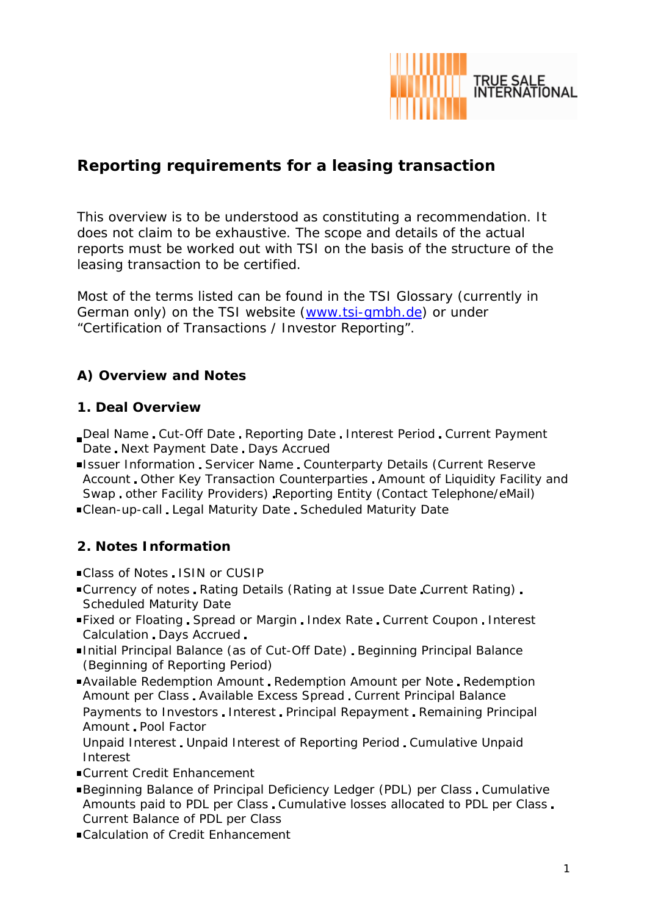

# **Reporting requirements for a leasing transaction**

This overview is to be understood as constituting a recommendation. It does not claim to be exhaustive. The scope and details of the actual reports must be worked out with TSI on the basis of the structure of the leasing transaction to be certified.

Most of the terms listed can be found in the TSI Glossary (currently in German only) on the TSI website (www.tsi-gmbh.de) or under "Certification of Transactions / Investor Reporting".

# **A) Overview and Notes**

## **1. Deal Overview**

- Deal Name Cut-Off Date Reporting Date Interest Period Current Payment Date Next Payment Date Days Accrued
- **Issuer Information Servicer Name Counterparty Details (Current Reserve** Account Other Key Transaction Counterparties Amount of Liquidity Facility and Swap other Facility Providers) Reporting Entity (Contact Telephone/eMail) Clean-up-call Legal Maturity Date Scheduled Maturity Date

## **2. Notes Information**

- Class of Notes ISIN or CUSIP
- ■Currency of notes Rating Details (Rating at Issue Date Current Rating) Scheduled Maturity Date
- Fixed or Floating Spread or Margin Index Rate Current Coupon Interest Calculation Days Accrued
- Initial Principal Balance (as of Cut-Off Date) Beginning Principal Balance (Beginning of Reporting Period)
- Available Redemption Amount Redemption Amount per Note Redemption Amount per Class Available Excess Spread Current Principal Balance Payments to Investors Interest Principal Repayment Remaining Principal Amount Pool Factor
- Unpaid Interest Unpaid Interest of Reporting Period Cumulative Unpaid Interest
- Current Credit Enhancement
- Beginning Balance of Principal Deficiency Ledger (PDL) per Class Cumulative Amounts paid to PDL per Class Cumulative losses allocated to PDL per Class Current Balance of PDL per Class
- Calculation of Credit Enhancement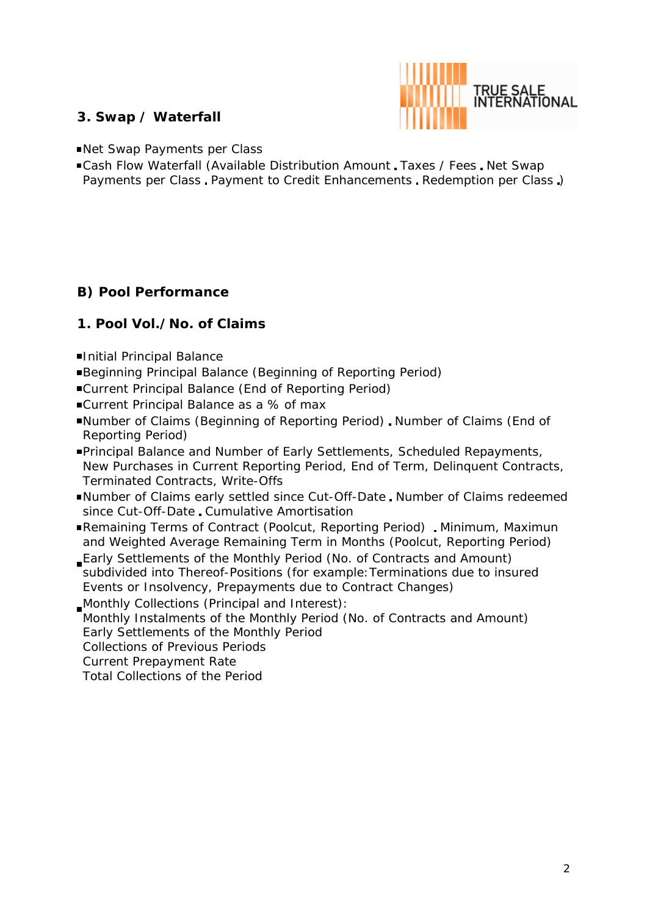

## **3. Swap / Waterfall**

Net Swap Payments per Class

■Cash Flow Waterfall (Available Distribution Amount, Taxes / Fees, Net Swap Payments per Class Payment to Credit Enhancements Redemption per Class )

## **B) Pool Performance**

#### **1. Pool Vol./No. of Claims**

- Initial Principal Balance
- Beginning Principal Balance (Beginning of Reporting Period)
- Current Principal Balance (End of Reporting Period)
- ■Current Principal Balance as a % of max
- ■Number of Claims (Beginning of Reporting Period). Number of Claims (End of Reporting Period)
- Principal Balance and Number of Early Settlements, Scheduled Repayments, New Purchases in Current Reporting Period, End of Term, Delinquent Contracts, Terminated Contracts, Write-Offs
- ■Number of Claims early settled since Cut-Off-Date, Number of Claims redeemed since Cut-Off-Date Cumulative Amortisation
- Remaining Terms of Contract (Poolcut, Reporting Period) Minimum, Maximun and Weighted Average Remaining Term in Months (Poolcut, Reporting Period)
- Early Settlements of the Monthly Period (No. of Contracts and Amount) subdivided into Thereof-Positions (for example: Terminations due to insured Events or Insolvency, Prepayments due to Contract Changes)
- Monthly Collections (Principal and Interest): Monthly Instalments of the Monthly Period (No. of Contracts and Amount) Early Settlements of the Monthly Period Collections of Previous Periods Current Prepayment Rate Total Collections of the Period